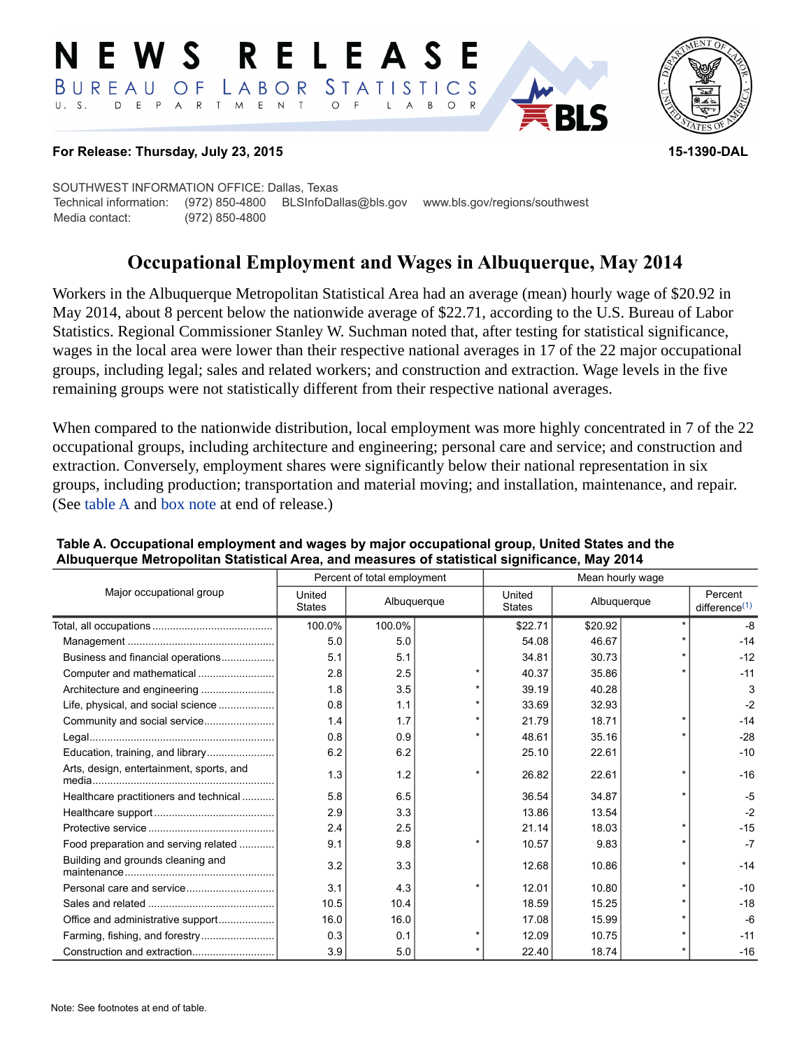#### RELEASE E W S LABOR STATISTICS BUREAU OF D E P A R T M E N T  $\circ$  $U. S.$  $F$  $\mathsf{L}$  $\overline{A}$  $B$  $O$   $R$



#### **For Release: Thursday, July 23, 2015 15-1390-DAL**

SOUTHWEST INFORMATION OFFICE: Dallas, Texas Technical information: (972) 850-4800 BLSInfoDallas@bls.gov www.bls.gov/regions/southwest Media contact: (972) 850-4800

# **Occupational Employment and Wages in Albuquerque, May 2014**

Workers in the Albuquerque Metropolitan Statistical Area had an average (mean) hourly wage of \$20.92 in May 2014, about 8 percent below the nationwide average of \$22.71, according to the U.S. Bureau of Labor Statistics. Regional Commissioner Stanley W. Suchman noted that, after testing for statistical significance, wages in the local area were lower than their respective national averages in 17 of the 22 major occupational groups, including legal; sales and related workers; and construction and extraction. Wage levels in the five remaining groups were not statistically different from their respective national averages.

When compared to the nationwide distribution, local employment was more highly concentrated in 7 of the 22 occupational groups, including architecture and engineering; personal care and service; and construction and extraction. Conversely, employment shares were significantly below their national representation in six groups, including production; transportation and material moving; and installation, maintenance, and repair. (See [table A](#page-0-0) and [box note](#page-1-0) at end of release.)

|                                          | Percent of total employment |             |  | Mean hourly wage        |             |  |                                      |
|------------------------------------------|-----------------------------|-------------|--|-------------------------|-------------|--|--------------------------------------|
| Major occupational group                 | United<br><b>States</b>     | Albuquerque |  | United<br><b>States</b> | Albuquerque |  | Percent<br>difference <sup>(1)</sup> |
|                                          | 100.0%                      | 100.0%      |  | \$22.71                 | \$20.92     |  | $-8$                                 |
|                                          | 5.0                         | 5.0         |  | 54.08                   | 46.67       |  | $-14$                                |
| Business and financial operations        | 5.1                         | 5.1         |  | 34.81                   | 30.73       |  | $-12$                                |
| Computer and mathematical                | 2.8                         | 2.5         |  | 40.37                   | 35.86       |  | $-11$                                |
| Architecture and engineering             | 1.8                         | 3.5         |  | 39.19                   | 40.28       |  | 3                                    |
| Life, physical, and social science       | 0.8                         | 1.1         |  | 33.69                   | 32.93       |  | $-2$                                 |
|                                          | 1.4                         | 1.7         |  | 21.79                   | 18.71       |  | $-14$                                |
|                                          | 0.8                         | 0.9         |  | 48.61                   | 35.16       |  | $-28$                                |
|                                          | 6.2                         | 6.2         |  | 25.10                   | 22.61       |  | $-10$                                |
| Arts, design, entertainment, sports, and | 1.3                         | 1.2         |  | 26.82                   | 22.61       |  | $-16$                                |
| Healthcare practitioners and technical   | 5.8                         | 6.5         |  | 36.54                   | 34.87       |  | $-5$                                 |
|                                          | 2.9                         | 3.3         |  | 13.86                   | 13.54       |  | $-2$                                 |
|                                          | 2.4                         | 2.5         |  | 21.14                   | 18.03       |  | $-15$                                |
| Food preparation and serving related     | 9.1                         | 9.8         |  | 10.57                   | 9.83        |  | $-7$                                 |
| Building and grounds cleaning and        | 3.2                         | 3.3         |  | 12.68                   | 10.86       |  | $-14$                                |
| Personal care and service                | 3.1                         | 4.3         |  | 12.01                   | 10.80       |  | $-10$                                |
|                                          | 10.5                        | 10.4        |  | 18.59                   | 15.25       |  | $-18$                                |
|                                          | 16.0                        | 16.0        |  | 17.08                   | 15.99       |  | -6                                   |
| Farming, fishing, and forestry           | 0.3                         | 0.1         |  | 12.09                   | 10.75       |  | $-11$                                |
|                                          | 3.9                         | 5.0         |  | 22.40                   | 18.74       |  | $-16$                                |

#### <span id="page-0-0"></span>**Table A. Occupational employment and wages by major occupational group, United States and the Albuquerque Metropolitan Statistical Area, and measures of statistical significance, May 2014**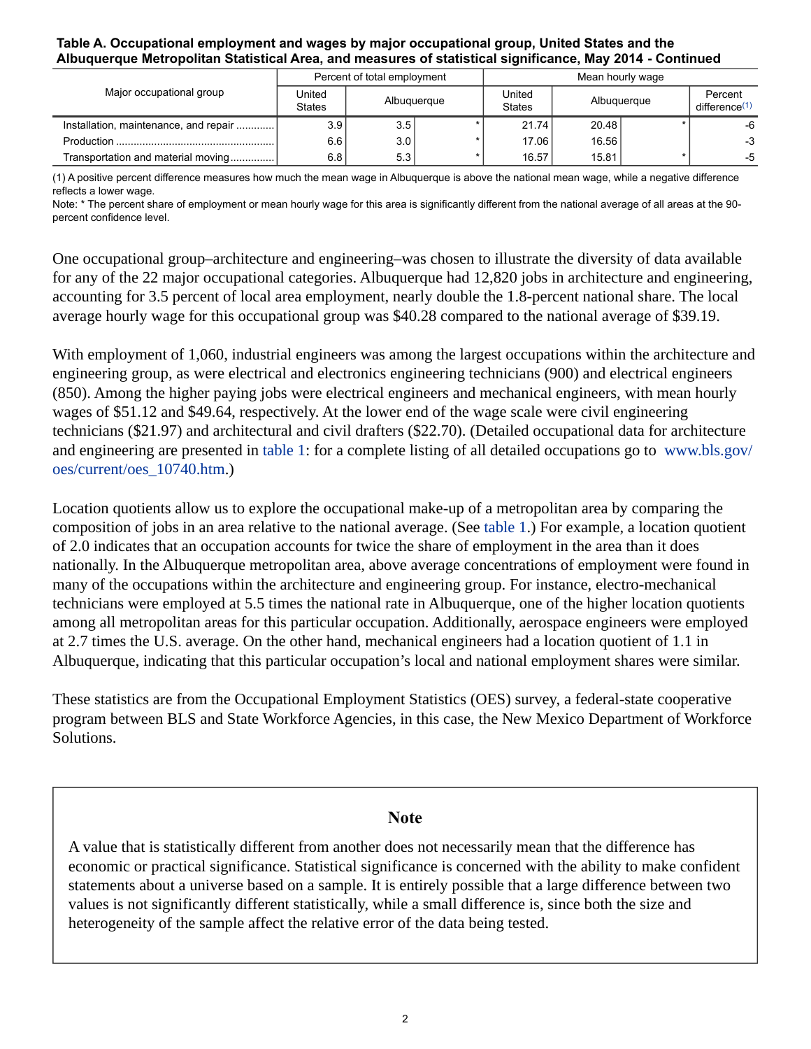#### **Table A. Occupational employment and wages by major occupational group, United States and the Albuquerque Metropolitan Statistical Area, and measures of statistical significance, May 2014 - Continued**

|                                       | Percent of total employment |             |  | Mean hourly wage        |             |  |                                     |
|---------------------------------------|-----------------------------|-------------|--|-------------------------|-------------|--|-------------------------------------|
| Major occupational group              | United<br><b>States</b>     | Albuquerque |  | United<br><b>States</b> | Albuquerque |  | Percent<br>difference <sup>(1</sup> |
| Installation, maintenance, and repair | 3.9                         | 3.5         |  | 21.74                   | 20.48       |  | -6                                  |
|                                       | 6.6                         | 3.0         |  | 17.06                   | 16.56       |  | $-3$                                |
| Transportation and material moving    | 6.8                         | 5.3         |  | 16.57                   | 15.81       |  | -5                                  |

<span id="page-1-1"></span>(1) A positive percent difference measures how much the mean wage in Albuquerque is above the national mean wage, while a negative difference reflects a lower wage.

Note: \* The percent share of employment or mean hourly wage for this area is significantly different from the national average of all areas at the 90 percent confidence level.

One occupational group–architecture and engineering–was chosen to illustrate the diversity of data available for any of the 22 major occupational categories. Albuquerque had 12,820 jobs in architecture and engineering, accounting for 3.5 percent of local area employment, nearly double the 1.8-percent national share. The local average hourly wage for this occupational group was \$40.28 compared to the national average of \$39.19.

With employment of 1,060, industrial engineers was among the largest occupations within the architecture and engineering group, as were electrical and electronics engineering technicians (900) and electrical engineers (850). Among the higher paying jobs were electrical engineers and mechanical engineers, with mean hourly wages of \$51.12 and \$49.64, respectively. At the lower end of the wage scale were civil engineering technicians (\$21.97) and architectural and civil drafters (\$22.70). (Detailed occupational data for architecture and engineering are presented in [table 1](#page-3-0): for a complete listing of all detailed occupations go to [www.bls.gov/](https://www.bls.gov/oes/current/oes_10740.htm) [oes/current/oes\\_10740.htm.](https://www.bls.gov/oes/current/oes_10740.htm))

Location quotients allow us to explore the occupational make-up of a metropolitan area by comparing the composition of jobs in an area relative to the national average. (See [table 1.](#page-3-0)) For example, a location quotient of 2.0 indicates that an occupation accounts for twice the share of employment in the area than it does nationally. In the Albuquerque metropolitan area, above average concentrations of employment were found in many of the occupations within the architecture and engineering group. For instance, electro-mechanical technicians were employed at 5.5 times the national rate in Albuquerque, one of the higher location quotients among all metropolitan areas for this particular occupation. Additionally, aerospace engineers were employed at 2.7 times the U.S. average. On the other hand, mechanical engineers had a location quotient of 1.1 in Albuquerque, indicating that this particular occupation's local and national employment shares were similar.

These statistics are from the Occupational Employment Statistics (OES) survey, a federal-state cooperative program between BLS and State Workforce Agencies, in this case, the New Mexico Department of Workforce Solutions.

### **Note**

<span id="page-1-0"></span>A value that is statistically different from another does not necessarily mean that the difference has economic or practical significance. Statistical significance is concerned with the ability to make confident statements about a universe based on a sample. It is entirely possible that a large difference between two values is not significantly different statistically, while a small difference is, since both the size and heterogeneity of the sample affect the relative error of the data being tested.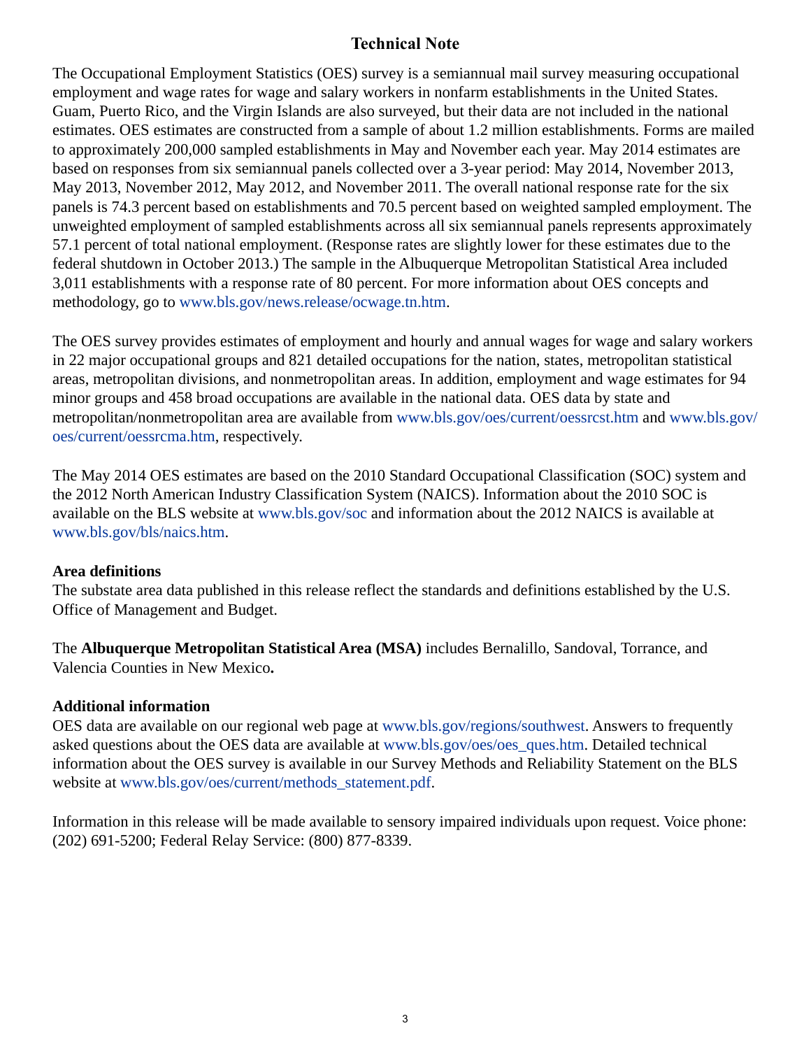# **Technical Note**

The Occupational Employment Statistics (OES) survey is a semiannual mail survey measuring occupational employment and wage rates for wage and salary workers in nonfarm establishments in the United States. Guam, Puerto Rico, and the Virgin Islands are also surveyed, but their data are not included in the national estimates. OES estimates are constructed from a sample of about 1.2 million establishments. Forms are mailed to approximately 200,000 sampled establishments in May and November each year. May 2014 estimates are based on responses from six semiannual panels collected over a 3-year period: May 2014, November 2013, May 2013, November 2012, May 2012, and November 2011. The overall national response rate for the six panels is 74.3 percent based on establishments and 70.5 percent based on weighted sampled employment. The unweighted employment of sampled establishments across all six semiannual panels represents approximately 57.1 percent of total national employment. (Response rates are slightly lower for these estimates due to the federal shutdown in October 2013.) The sample in the Albuquerque Metropolitan Statistical Area included 3,011 establishments with a response rate of 80 percent. For more information about OES concepts and methodology, go to [www.bls.gov/news.release/ocwage.tn.htm.](https://www.bls.gov/news.release/ocwage.tn.htm)

The OES survey provides estimates of employment and hourly and annual wages for wage and salary workers in 22 major occupational groups and 821 detailed occupations for the nation, states, metropolitan statistical areas, metropolitan divisions, and nonmetropolitan areas. In addition, employment and wage estimates for 94 minor groups and 458 broad occupations are available in the national data. OES data by state and metropolitan/nonmetropolitan area are available from [www.bls.gov/oes/current/oessrcst.htm](https://www.bls.gov/oes/current/oessrcst.htm) and [www.bls.gov/](https://www.bls.gov/oes/current/oessrcma.htm) [oes/current/oessrcma.htm,](https://www.bls.gov/oes/current/oessrcma.htm) respectively.

The May 2014 OES estimates are based on the 2010 Standard Occupational Classification (SOC) system and the 2012 North American Industry Classification System (NAICS). Information about the 2010 SOC is available on the BLS website at [www.bls.gov/soc](https://www.bls.gov/soc) and information about the 2012 NAICS is available at [www.bls.gov/bls/naics.htm.](https://www.bls.gov/bls/naics.htm)

## **Area definitions**

The substate area data published in this release reflect the standards and definitions established by the U.S. Office of Management and Budget.

The **Albuquerque Metropolitan Statistical Area (MSA)** includes Bernalillo, Sandoval, Torrance, and Valencia Counties in New Mexico**.**

# **Additional information**

OES data are available on our regional web page at [www.bls.gov/regions/southwest.](https://www.bls.gov/regions/southwest) Answers to frequently asked questions about the OES data are available at [www.bls.gov/oes/oes\\_ques.htm](https://www.bls.gov/oes/oes_ques.htm). Detailed technical information about the OES survey is available in our Survey Methods and Reliability Statement on the BLS website at [www.bls.gov/oes/current/methods\\_statement.pdf.](https://www.bls.gov/oes/current/methods_statement.pdf)

Information in this release will be made available to sensory impaired individuals upon request. Voice phone: (202) 691-5200; Federal Relay Service: (800) 877-8339.